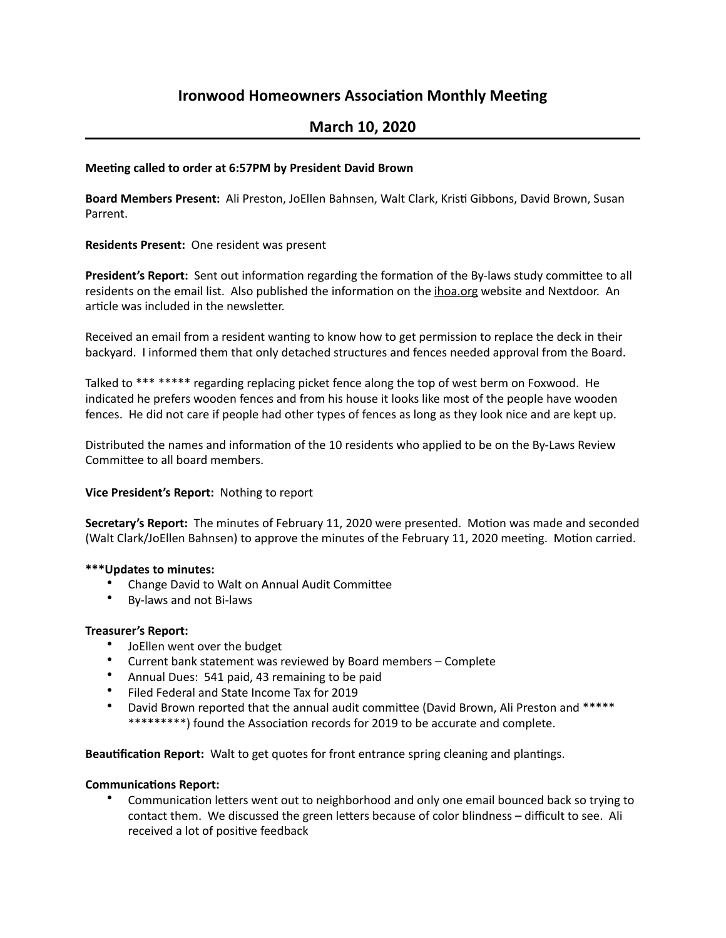# **Ironwood Homeowners Association Monthly Meeting**

## **March 10, 2020**

#### **Meeting called to order at 6:57PM by President David Brown**

Board Members Present: Ali Preston, JoEllen Bahnsen, Walt Clark, Kristi Gibbons, David Brown, Susan Parrent.

**Residents Present:** One resident was present

**President's Report:** Sent out information regarding the formation of the By-laws study committee to all residents on the email list. Also published the information on the ihoa.org website and Nextdoor. An article was included in the newsletter.

Received an email from a resident wanting to know how to get permission to replace the deck in their backyard. I informed them that only detached structures and fences needed approval from the Board.

Talked to \*\*\* \*\*\*\*\* regarding replacing picket fence along the top of west berm on Foxwood. He indicated he prefers wooden fences and from his house it looks like most of the people have wooden fences. He did not care if people had other types of fences as long as they look nice and are kept up.

Distributed the names and information of the 10 residents who applied to be on the By-Laws Review Committee to all board members.

## **Vice President's Report:** Nothing to report

**Secretary's Report:** The minutes of February 11, 2020 were presented. Motion was made and seconded (Walt Clark/JoEllen Bahnsen) to approve the minutes of the February 11, 2020 meeting. Motion carried.

#### **\*\*\*Updates to minutes:**

- Change David to Walt on Annual Audit Committee
- By-laws and not Bi-laws

#### **Treasurer's Report:**

- JoEllen went over the budget
- Current bank statement was reviewed by Board members Complete
- Annual Dues: 541 paid, 43 remaining to be paid
- Filed Federal and State Income Tax for 2019
- David Brown reported that the annual audit committee (David Brown, Ali Preston and \*\*\*\*\* \*\*\*\*\*\*\*\*\*) found the Association records for 2019 to be accurate and complete.

Beautification Report: Walt to get quotes for front entrance spring cleaning and plantings.

#### **Communications Report:**

Communication letters went out to neighborhood and only one email bounced back so trying to contact them. We discussed the green letters because of color blindness - difficult to see. Ali received a lot of positive feedback